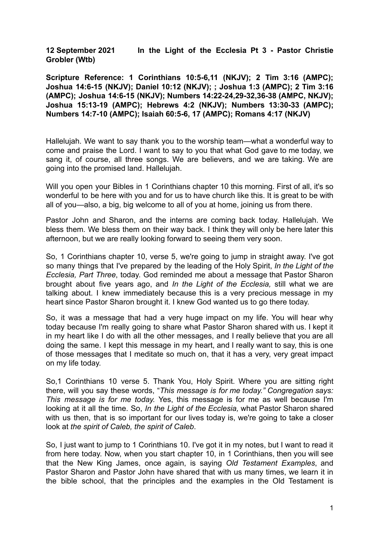**12 September 2021 In the Light of the Ecclesia Pt 3 - Pastor Christie Grobler (Wtb)**

**Scripture Reference: 1 Corinthians 10:5-6,11 (NKJV); 2 Tim 3:16 (AMPC); Joshua 14:6-15 (NKJV); Daniel 10:12 (NKJV); ; Joshua 1:3 (AMPC); 2 Tim 3:16 (AMPC); Joshua 14:6-15 (NKJV); Numbers 14:22-24,29-32,36-38 (AMPC, NKJV); Joshua 15:13-19 (AMPC); Hebrews 4:2 (NKJV); Numbers 13:30-33 (AMPC); Numbers 14:7-10 (AMPC); Isaiah 60:5-6, 17 (AMPC); Romans 4:17 (NKJV)**

Hallelujah. We want to say thank you to the worship team—what a wonderful way to come and praise the Lord. I want to say to you that what God gave to me today, we sang it, of course, all three songs. We are believers, and we are taking. We are going into the promised land. Hallelujah.

Will you open your Bibles in 1 Corinthians chapter 10 this morning. First of all, it's so wonderful to be here with you and for us to have church like this. It is great to be with all of you—also, a big, big welcome to all of you at home, joining us from there.

Pastor John and Sharon, and the interns are coming back today. Hallelujah. We bless them. We bless them on their way back. I think they will only be here later this afternoon, but we are really looking forward to seeing them very soon.

So, 1 Corinthians chapter 10, verse 5, we're going to jump in straight away. I've got so many things that I've prepared by the leading of the Holy Spirit, *In the Light of the Ecclesia, Part Three*, today. God reminded me about a message that Pastor Sharon brought about five years ago, and *In the Light of the Ecclesia,* still what we are talking about. I knew immediately because this is a very precious message in my heart since Pastor Sharon brought it. I knew God wanted us to go there today.

So, it was a message that had a very huge impact on my life. You will hear why today because I'm really going to share what Pastor Sharon shared with us. I kept it in my heart like I do with all the other messages, and I really believe that you are all doing the same. I kept this message in my heart, and I really want to say, this is one of those messages that I meditate so much on, that it has a very, very great impact on my life today.

So,1 Corinthians 10 verse 5. Thank You, Holy Spirit. Where you are sitting right there, will you say these words, "*This message is for me today." Congregation says: This message is for me today.* Yes, this message is for me as well because I'm looking at it all the time. So, *In the Light of the Ecclesia,* what Pastor Sharon shared with us then, that is so important for our lives today is, we're going to take a closer look at *the spirit of Caleb, the spirit of Caleb*.

So, I just want to jump to 1 Corinthians 10. I've got it in my notes, but I want to read it from here today. Now, when you start chapter 10, in 1 Corinthians, then you will see that the New King James, once again, is saying *Old Testament Examples*, and Pastor Sharon and Pastor John have shared that with us many times, we learn it in the bible school, that the principles and the examples in the Old Testament is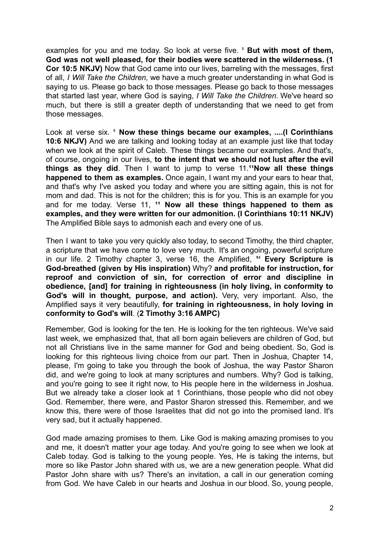examples for you and me today. So look at verse five. ⁵ **But with most of them, God was not well pleased, for their bodies were scattered in the wilderness. (1 Cor 10:5 NKJV)** Now that God came into our lives, barreling with the messages, first of all, *I Will Take the Children,* we have a much greater understanding in what God is saying to us. Please go back to those messages. Please go back to those messages that started last year, where God is saying, *I Will Take the Children*. We've heard so much, but there is still a greater depth of understanding that we need to get from those messages.

Look at verse six. ⁶ **Now these things became our examples, ....(I Corinthians 10:6 NKJV)** And we are talking and looking today at an example just like that today when we look at the spirit of Caleb. These things became our examples. And that's, of course, ongoing in our lives, **to the intent that we should not lust after the evil things as they did**. Then I want to jump to verse 11.<sup>11</sup>Now all these things **happened to them as examples.** Once again, I want my and your ears to hear that, and that's why I've asked you today and where you are sitting again, this is not for mom and dad. This is not for the children; this is for you. This is an example for you and for me today. Verse 11, <sup>11</sup> Now all these things happened to them as **examples, and they were written for our admonition. (I Corinthians 10:11 NKJV)** The Amplified Bible says to admonish each and every one of us.

Then I want to take you very quickly also today, to second Timothy, the third chapter, a scripture that we have come to love very much. It's an ongoing, powerful scripture in our life. 2 Timothy chapter 3, verse 16, the Amplified, <sup>16</sup> Every Scripture is **God-breathed (given by His inspiration)** Why? **and profitable for instruction, for reproof and conviction of sin, for correction of error and discipline in obedience, [and] for training in righteousness (in holy living, in conformity to God's will in thought, purpose, and action).** Very, very important. Also, the Amplified says it very beautifully, **for training in righteousness, in holy loving in conformity to God's will**. (**2 Timothy 3:16 AMPC)**

Remember, God is looking for the ten. He is looking for the ten righteous. We've said last week, we emphasized that, that all born again believers are children of God, but not all Christians live in the same manner for God and being obedient. So, God is looking for this righteous living choice from our part. Then in Joshua, Chapter 14, please, I'm going to take you through the book of Joshua, the way Pastor Sharon did, and we're going to look at many scriptures and numbers. Why? God is talking, and you're going to see it right now, to His people here in the wilderness in Joshua. But we already take a closer look at 1 Corinthians, those people who did not obey God. Remember, there were, and Pastor Sharon stressed this. Remember, and we know this, there were of those Israelites that did not go into the promised land. It's very sad, but it actually happened.

God made amazing promises to them. Like God is making amazing promises to you and me, it doesn't matter your age today. And you're going to see when we look at Caleb today. God is talking to the young people. Yes, He is taking the interns, but more so like Pastor John shared with us, we are a new generation people. What did Pastor John share with us? There's an invitation, a call in our generation coming from God. We have Caleb in our hearts and Joshua in our blood. So, young people,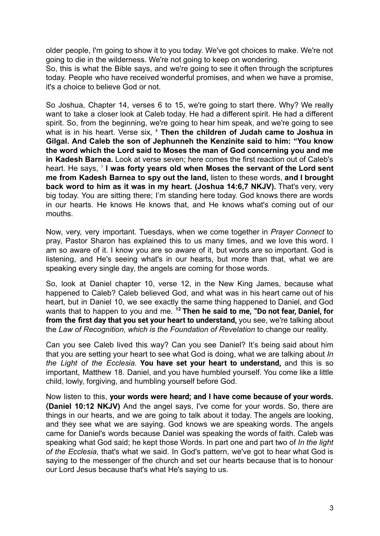older people, I'm going to show it to you today. We've got choices to make. We're not going to die in the wilderness. We're not going to keep on wondering.

So, this is what the Bible says, and we're going to see it often through the scriptures today. People who have received wonderful promises, and when we have a promise, it's a choice to believe God or not.

So Joshua, Chapter 14, verses 6 to 15, we're going to start there. Why? We really want to take a closer look at Caleb today. He had a different spirit. He had a different spirit. So, from the beginning, we're going to hear him speak, and we're going to see what is in his heart. Verse six, ⁶ **Then the children of Judah came to Joshua in Gilgal. And Caleb the son of Jephunneh the Kenzinite said to him: "You know the word which the Lord said to Moses the man of God concerning you and me in Kadesh Barnea.** Look at verse seven; here comes the first reaction out of Caleb's heart. He says, ⁷ **I was forty years old when Moses the servant of the Lord sent me from Kadesh Barnea to spy out the land,** listen to these words, **and I brought back word to him as it was in my heart. (Joshua 14:6,7 NKJV).** That's very, very big today. You are sitting there; I'm standing here today. God knows there are words in our hearts. He knows He knows that, and He knows what's coming out of our mouths.

Now, very, very important. Tuesdays, when we come together in *Prayer Connect* to pray, Pastor Sharon has explained this to us many times, and we love this word. I am so aware of it. I know you are so aware of it, but words are so important. God is listening, and He's seeing what's in our hearts, but more than that, what we are speaking every single day, the angels are coming for those words.

So, look at Daniel chapter 10, verse 12, in the New King James, because what happened to Caleb? Caleb believed God, and what was in his heart came out of his heart, but in Daniel 10, we see exactly the same thing happened to Daniel, and God wants that to happen to you and me. **<sup>12</sup> Then he said to me, "Do not fear, Daniel, for from the first day that you set your heart to understand,** you see, we're talking about the *Law of Recognition, which is the Foundation of Revelation* to change our reality.

Can you see Caleb lived this way? Can you see Daniel? It's being said about him that you are setting your heart to see what God is doing, what we are talking about *In the Light of the Ecclesia.* **You have set your heart to understand,** and this is so important, Matthew 18. Daniel, and you have humbled yourself. You come like a little child, lowly, forgiving, and humbling yourself before God.

Now listen to this, **your words were heard; and I have come because of your words. (Daniel 10:12 NKJV)** And the angel says, I've come for your words. So, there are things in our hearts, and we are going to talk about it today. The angels are looking, and they see what we are saying. God knows we are speaking words. The angels came for Daniel's words because Daniel was speaking the words of faith. Caleb was speaking what God said; he kept those Words. In part one and part two of *In the light of the Ecclesia*, that's what we said. In God's pattern, we've got to hear what God is saying to the messenger of the church and set our hearts because that is to honour our Lord Jesus because that's what He's saying to us.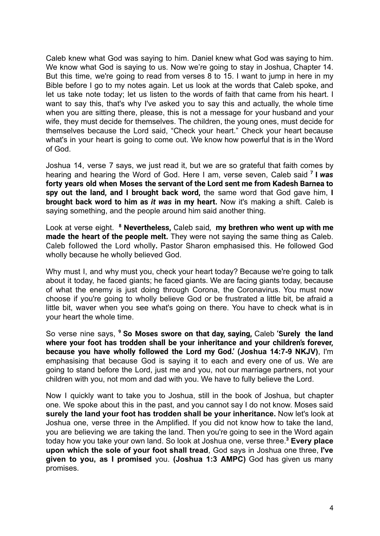Caleb knew what God was saying to him. Daniel knew what God was saying to him. We know what God is saying to us. Now we're going to stay in Joshua, Chapter 14. But this time, we're going to read from verses 8 to 15. I want to jump in here in my Bible before I go to my notes again. Let us look at the words that Caleb spoke, and let us take note today; let us listen to the words of faith that came from his heart. I want to say this, that's why I've asked you to say this and actually, the whole time when you are sitting there, please, this is not a message for your husband and your wife, they must decide for themselves. The children, the young ones, must decide for themselves because the Lord said, "Check your heart." Check your heart because what's in your heart is going to come out. We know how powerful that is in the Word of God.

Joshua 14, verse 7 says, we just read it, but we are so grateful that faith comes by hearing and hearing the Word of God. Here I am, verse seven, Caleb said **<sup>7</sup> I** *was* **forty years old when Moses the servant of the Lord sent me from Kadesh Barnea to spy out the land, and I brought back word,** the same word that God gave him, **I brought back word to him as** *it was* **in my heart.** Now it's making a shift. Caleb is saying something, and the people around him said another thing.

Look at verse eight. **<sup>8</sup> Nevertheless,** Caleb said, **my brethren who went up with me made the heart of the people melt.** They were not saying the same thing as Caleb. Caleb followed the Lord wholly**.** Pastor Sharon emphasised this. He followed God wholly because he wholly believed God.

Why must I, and why must you, check your heart today? Because we're going to talk about it today, he faced giants; he faced giants. We are facing giants today, because of what the enemy is just doing through Corona, the Coronavirus. You must now choose if you're going to wholly believe God or be frustrated a little bit, be afraid a little bit, waver when you see what's going on there. You have to check what is in your heart the whole time.

So verse nine says, **<sup>9</sup> So Moses swore on that day, saying,** Caleb **'Surely the land where your foot has trodden shall be your inheritance and your children's forever, because you have wholly followed the Lord my God.' (Joshua 14:7-9 NKJV)**, I'm emphasising that because God is saying it to each and every one of us. We are going to stand before the Lord, just me and you, not our marriage partners, not your children with you, not mom and dad with you. We have to fully believe the Lord.

Now I quickly want to take you to Joshua, still in the book of Joshua, but chapter one. We spoke about this in the past, and you cannot say I do not know. Moses said **surely the land your foot has trodden shall be your inheritance.** Now let's look at Joshua one, verse three in the Amplified. If you did not know how to take the land, you are believing we are taking the land. Then you're going to see in the Word again today how you take your own land. So look at Joshua one, verse three.**<sup>3</sup> Every place upon which the sole of your foot shall tread**, God says in Joshua one three, **I've given to you, as I promised** you. **(Joshua 1:3 AMPC)** God has given us many promises.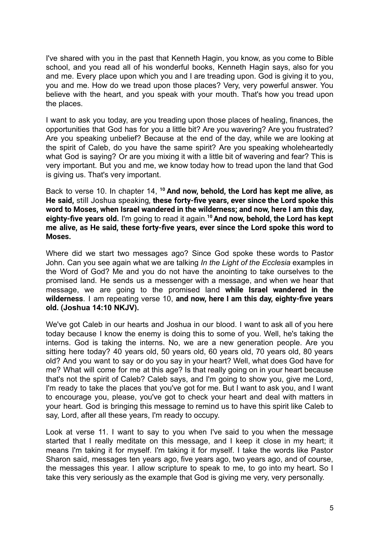I've shared with you in the past that Kenneth Hagin, you know, as you come to Bible school, and you read all of his wonderful books, Kenneth Hagin says, also for you and me. Every place upon which you and I are treading upon. God is giving it to you, you and me. How do we tread upon those places? Very, very powerful answer. You believe with the heart, and you speak with your mouth. That's how you tread upon the places.

I want to ask you today, are you treading upon those places of healing, finances, the opportunities that God has for you a little bit? Are you wavering? Are you frustrated? Are you speaking unbelief? Because at the end of the day, while we are looking at the spirit of Caleb, do you have the same spirit? Are you speaking wholeheartedly what God is saying? Or are you mixing it with a little bit of wavering and fear? This is very important. But you and me, we know today how to tread upon the land that God is giving us. That's very important.

Back to verse 10. In chapter 14, **<sup>10</sup> And now, behold, the Lord has kept me alive, as He said,** still Joshua speaking, **these forty-five years, ever since the Lord spoke this word to Moses, when Israel wandered in the wilderness; and now, here I am this day, eighty-five years old.** I'm going to read it again.**<sup>10</sup>And now, behold, the Lord has kept me alive, as He said, these forty-five years, ever since the Lord spoke this word to Moses.**

Where did we start two messages ago? Since God spoke these words to Pastor John. Can you see again what we are talking *In the Light of the Ecclesia* examples in the Word of God? Me and you do not have the anointing to take ourselves to the promised land. He sends us a messenger with a message, and when we hear that message, we are going to the promised land **while Israel wandered in the wilderness**. I am repeating verse 10, **and now, here I am this day, eighty-five years old. (Joshua 14:10 NKJV).**

We've got Caleb in our hearts and Joshua in our blood. I want to ask all of you here today because I know the enemy is doing this to some of you. Well, he's taking the interns. God is taking the interns. No, we are a new generation people. Are you sitting here today? 40 years old, 50 years old, 60 years old, 70 years old, 80 years old? And you want to say or do you say in your heart? Well, what does God have for me? What will come for me at this age? Is that really going on in your heart because that's not the spirit of Caleb? Caleb says, and I'm going to show you, give me Lord, I'm ready to take the places that you've got for me. But I want to ask you, and I want to encourage you, please, you've got to check your heart and deal with matters in your heart. God is bringing this message to remind us to have this spirit like Caleb to say, Lord, after all these years, I'm ready to occupy.

Look at verse 11. I want to say to you when I've said to you when the message started that I really meditate on this message, and I keep it close in my heart; it means I'm taking it for myself. I'm taking it for myself. I take the words like Pastor Sharon said, messages ten years ago, five years ago, two years ago, and of course, the messages this year. I allow scripture to speak to me, to go into my heart. So I take this very seriously as the example that God is giving me very, very personally.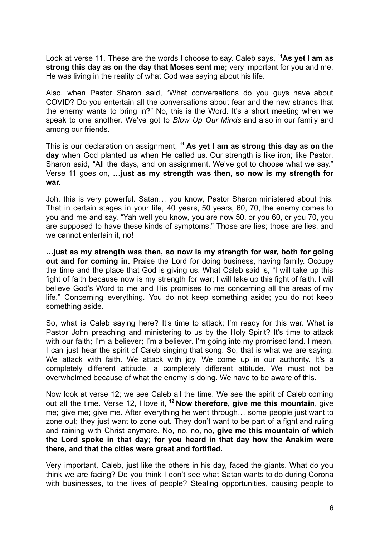Look at verse 11. These are the words I choose to say. Caleb says, **<sup>11</sup>As yet I am as strong this day as on the day that Moses sent me;** very important for you and me. He was living in the reality of what God was saying about his life.

Also, when Pastor Sharon said, "What conversations do you guys have about COVID? Do you entertain all the conversations about fear and the new strands that the enemy wants to bring in?" No, this is the Word. It's a short meeting when we speak to one another. We've got to *Blow Up Our Minds* and also in our family and among our friends.

This is our declaration on assignment, **<sup>11</sup> As yet I am as strong this day as on the day** when God planted us when He called us. Our strength is like iron; like Pastor, Sharon said, "All the days, and on assignment. We've got to choose what we say." Verse 11 goes on, **…just as my strength was then, so now is my strength for war.**

Joh, this is very powerful. Satan… you know, Pastor Sharon ministered about this. That in certain stages in your life, 40 years, 50 years, 60, 70, the enemy comes to you and me and say, "Yah well you know, you are now 50, or you 60, or you 70, you are supposed to have these kinds of symptoms." Those are lies; those are lies, and we cannot entertain it, no!

**…just as my strength was then, so now is my strength for war, both for going out and for coming in.** Praise the Lord for doing business, having family. Occupy the time and the place that God is giving us. What Caleb said is, "I will take up this fight of faith because now is my strength for war; I will take up this fight of faith. I will believe God's Word to me and His promises to me concerning all the areas of my life." Concerning everything. You do not keep something aside; you do not keep something aside.

So, what is Caleb saying here? It's time to attack; I'm ready for this war. What is Pastor John preaching and ministering to us by the Holy Spirit? It's time to attack with our faith; I'm a believer; I'm a believer. I'm going into my promised land. I mean, I can just hear the spirit of Caleb singing that song. So, that is what we are saying. We attack with faith. We attack with joy. We come up in our authority. It's a completely different attitude, a completely different attitude. We must not be overwhelmed because of what the enemy is doing. We have to be aware of this.

Now look at verse 12; we see Caleb all the time. We see the spirit of Caleb coming out all the time. Verse 12, I love it, **<sup>12</sup> Now therefore, give me this mountain**, give me; give me; give me. After everything he went through… some people just want to zone out; they just want to zone out. They don't want to be part of a fight and ruling and raining with Christ anymore. No, no, no, no, **give me this mountain of which the Lord spoke in that day; for you heard in that day how the Anakim were there, and that the cities were great and fortified.**

Very important, Caleb, just like the others in his day, faced the giants. What do you think we are facing? Do you think I don't see what Satan wants to do during Corona with businesses, to the lives of people? Stealing opportunities, causing people to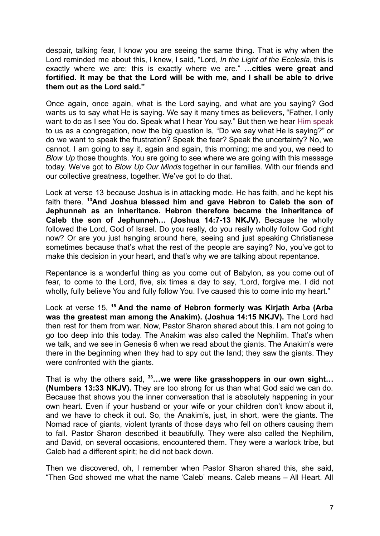despair, talking fear, I know you are seeing the same thing. That is why when the Lord reminded me about this, I knew, I said, "Lord, *In the Light of the Ecclesia*, this is exactly where we are; this is exactly where we are." **…cities were great and fortified. It may be that the Lord will be with me, and I shall be able to drive them out as the Lord said."**

Once again, once again, what is the Lord saying, and what are you saying? God wants us to say what He is saying. We say it many times as believers, "Father, I only want to do as I see You do. Speak what I hear You say." But then we hear Him speak to us as a congregation, now the big question is, "Do we say what He is saying?" or do we want to speak the frustration? Speak the fear? Speak the uncertainty? No, we cannot. I am going to say it, again and again, this morning; me and you, we need to *Blow Up* those thoughts. You are going to see where we are going with this message today. We've got to *Blow Up Our Minds* together in our families. With our friends and our collective greatness, together. We've got to do that.

Look at verse 13 because Joshua is in attacking mode. He has faith, and he kept his faith there. **<sup>13</sup>And Joshua blessed him and gave Hebron to Caleb the son of Jephunneh as an inheritance. Hebron therefore became the inheritance of Caleb the son of Jephunneh… (Joshua 14:7-13 NKJV).** Because he wholly followed the Lord, God of Israel. Do you really, do you really wholly follow God right now? Or are you just hanging around here, seeing and just speaking Christianese sometimes because that's what the rest of the people are saying? No, you've got to make this decision in your heart, and that's why we are talking about repentance.

Repentance is a wonderful thing as you come out of Babylon, as you come out of fear, to come to the Lord, five, six times a day to say, "Lord, forgive me. I did not wholly, fully believe You and fully follow You. I've caused this to come into my heart."

Look at verse 15, **<sup>15</sup> And the name of Hebron formerly was Kirjath Arba (Arba was the greatest man among the Anakim). (Joshua 14:15 NKJV).** The Lord had then rest for them from war. Now, Pastor Sharon shared about this. I am not going to go too deep into this today. The Anakim was also called the Nephilim. That's when we talk, and we see in Genesis 6 when we read about the giants. The Anakim's were there in the beginning when they had to spy out the land; they saw the giants. They were confronted with the giants.

That is why the others said, **<sup>33</sup>…we were like grasshoppers in our own sight… (Numbers 13:33 NKJV).** They are too strong for us than what God said we can do. Because that shows you the inner conversation that is absolutely happening in your own heart. Even if your husband or your wife or your children don't know about it, and we have to check it out. So, the Anakim's, just, in short, were the giants. The Nomad race of giants, violent tyrants of those days who fell on others causing them to fall. Pastor Sharon described it beautifully. They were also called the Nephilim, and David, on several occasions, encountered them. They were a warlock tribe, but Caleb had a different spirit; he did not back down.

Then we discovered, oh, I remember when Pastor Sharon shared this, she said, "Then God showed me what the name 'Caleb' means. Caleb means – All Heart. All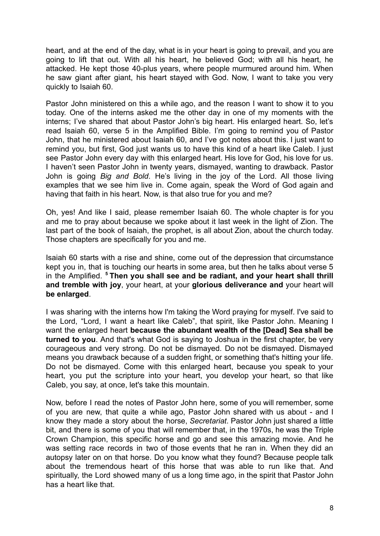heart, and at the end of the day, what is in your heart is going to prevail, and you are going to lift that out. With all his heart, he believed God; with all his heart, he attacked. He kept those 40-plus years, where people murmured around him. When he saw giant after giant, his heart stayed with God. Now, I want to take you very quickly to Isaiah 60.

Pastor John ministered on this a while ago, and the reason I want to show it to you today. One of the interns asked me the other day in one of my moments with the interns; I've shared that about Pastor John's big heart. His enlarged heart. So, let's read Isaiah 60, verse 5 in the Amplified Bible. I'm going to remind you of Pastor John, that he ministered about Isaiah 60, and I've got notes about this. I just want to remind you, but first, God just wants us to have this kind of a heart like Caleb. I just see Pastor John every day with this enlarged heart. His love for God, his love for us. I haven't seen Pastor John in twenty years, dismayed, wanting to drawback. Pastor John is going *Big and Bold*. He's living in the joy of the Lord. All those living examples that we see him live in. Come again, speak the Word of God again and having that faith in his heart. Now, is that also true for you and me?

Oh, yes! And like I said, please remember Isaiah 60. The whole chapter is for you and me to pray about because we spoke about it last week in the light of Zion. The last part of the book of Isaiah, the prophet, is all about Zion, about the church today. Those chapters are specifically for you and me.

Isaiah 60 starts with a rise and shine, come out of the depression that circumstance kept you in, that is touching our hearts in some area, but then he talks about verse 5 in the Amplified. **<sup>5</sup> Then you shall see and be radiant, and your heart shall thrill and tremble with joy**, your heart, at your **glorious deliverance and** your heart will **be enlarged**.

I was sharing with the interns how I'm taking the Word praying for myself. I've said to the Lord, "Lord, I want a heart like Caleb", that spirit, like Pastor John. Meaning I want the enlarged heart **because the abundant wealth of the [Dead] Sea shall be turned to you**. And that's what God is saying to Joshua in the first chapter, be very courageous and very strong. Do not be dismayed. Do not be dismayed. Dismayed means you drawback because of a sudden fright, or something that's hitting your life. Do not be dismayed. Come with this enlarged heart, because you speak to your heart, you put the scripture into your heart, you develop your heart, so that like Caleb, you say, at once, let's take this mountain.

Now, before I read the notes of Pastor John here, some of you will remember, some of you are new, that quite a while ago, Pastor John shared with us about - and I know they made a story about the horse, *Secretariat*. Pastor John just shared a little bit, and there is some of you that will remember that, in the 1970s, he was the Triple Crown Champion, this specific horse and go and see this amazing movie. And he was setting race records in two of those events that he ran in. When they did an autopsy later on on that horse. Do you know what they found? Because people talk about the tremendous heart of this horse that was able to run like that. And spiritually, the Lord showed many of us a long time ago, in the spirit that Pastor John has a heart like that.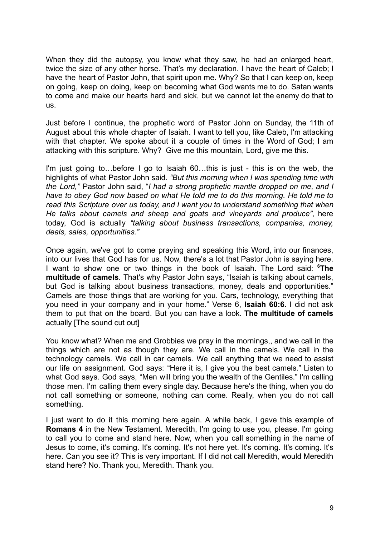When they did the autopsy, you know what they saw, he had an enlarged heart, twice the size of any other horse. That's my declaration. I have the heart of Caleb; I have the heart of Pastor John, that spirit upon me. Why? So that I can keep on, keep on going, keep on doing, keep on becoming what God wants me to do. Satan wants to come and make our hearts hard and sick, but we cannot let the enemy do that to us.

Just before I continue, the prophetic word of Pastor John on Sunday, the 11th of August about this whole chapter of Isaiah. I want to tell you, like Caleb, I'm attacking with that chapter. We spoke about it a couple of times in the Word of God; I am attacking with this scripture. Why? Give me this mountain, Lord, give me this.

I'm just going to…before I go to Isaiah 60…this is just - this is on the web, the highlights of what Pastor John said. *"But this morning when I was spending time with the Lord,"* Pastor John said, "*I had a strong prophetic mantle dropped on me, and I have to obey God now based on what He told me to do this morning. He told me to read this Scripture over us today, and I want you to understand something that when He talks about camels and sheep and goats and vineyards and produce"*, here today, God is actually *"talking about business transactions, companies, money, deals, sales, opportunities."*

Once again, we've got to come praying and speaking this Word, into our finances, into our lives that God has for us. Now, there's a lot that Pastor John is saying here. I want to show one or two things in the book of Isaiah. The Lord said: **<sup>6</sup>The multitude of camels**. That's why Pastor John says, "Isaiah is talking about camels, but God is talking about business transactions, money, deals and opportunities." Camels are those things that are working for you. Cars, technology, everything that you need in your company and in your home." Verse 6, **Isaiah 60:6.** I did not ask them to put that on the board. But you can have a look. **The multitude of camels** actually [The sound cut out]

You know what? When me and Grobbies we pray in the mornings,, and we call in the things which are not as though they are. We call in the camels. We call in the technology camels. We call in car camels. We call anything that we need to assist our life on assignment. God says: "Here it is, I give you the best camels." Listen to what God says. God says, "Men will bring you the wealth of the Gentiles." I'm calling those men. I'm calling them every single day. Because here's the thing, when you do not call something or someone, nothing can come. Really, when you do not call something.

I just want to do it this morning here again. A while back, I gave this example of **Romans 4** in the New Testament. Meredith, I'm going to use you, please. I'm going to call you to come and stand here. Now, when you call something in the name of Jesus to come, it's coming. It's coming. It's not here yet. It's coming. It's coming. It's here. Can you see it? This is very important. If I did not call Meredith, would Meredith stand here? No. Thank you, Meredith. Thank you.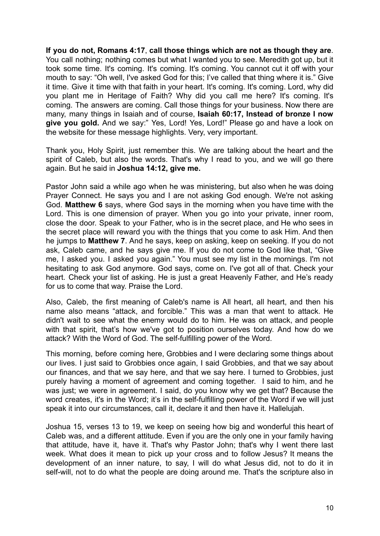**If you do not, Romans 4:17**, **call those things which are not as though they are**. You call nothing; nothing comes but what I wanted you to see. Meredith got up, but it took some time. It's coming. It's coming. It's coming. You cannot cut it off with your mouth to say: "Oh well, I've asked God for this; I've called that thing where it is." Give it time. Give it time with that faith in your heart. It's coming. It's coming. Lord, why did you plant me in Heritage of Faith? Why did you call me here? It's coming. It's coming. The answers are coming. Call those things for your business. Now there are many, many things in Isaiah and of course, **Isaiah 60:17, Instead of bronze I now give you gold.** And we say:" Yes, Lord! Yes, Lord!" Please go and have a look on the website for these message highlights. Very, very important.

Thank you, Holy Spirit, just remember this. We are talking about the heart and the spirit of Caleb, but also the words. That's why I read to you, and we will go there again. But he said in **Joshua 14:12, give me.**

Pastor John said a while ago when he was ministering, but also when he was doing Prayer Connect. He says you and I are not asking God enough. We're not asking God. **Matthew 6** says, where God says in the morning when you have time with the Lord. This is one dimension of prayer. When you go into your private, inner room, close the door. Speak to your Father, who is in the secret place, and He who sees in the secret place will reward you with the things that you come to ask Him. And then he jumps to **Matthew 7**. And he says, keep on asking, keep on seeking. If you do not ask, Caleb came, and he says give me. If you do not come to God like that, "Give me, I asked you. I asked you again." You must see my list in the mornings. I'm not hesitating to ask God anymore. God says, come on. I've got all of that. Check your heart. Check your list of asking. He is just a great Heavenly Father, and He's ready for us to come that way. Praise the Lord.

Also, Caleb, the first meaning of Caleb's name is All heart, all heart, and then his name also means "attack, and forcible." This was a man that went to attack. He didn't wait to see what the enemy would do to him. He was on attack, and people with that spirit, that's how we've got to position ourselves today. And how do we attack? With the Word of God. The self-fulfilling power of the Word.

This morning, before coming here, Grobbies and I were declaring some things about our lives. I just said to Grobbies once again, I said Grobbies, and that we say about our finances, and that we say here, and that we say here. I turned to Grobbies, just purely having a moment of agreement and coming together. I said to him, and he was just; we were in agreement. I said, do you know why we get that? Because the word creates, it's in the Word; it's in the self-fulfilling power of the Word if we will just speak it into our circumstances, call it, declare it and then have it. Hallelujah.

Joshua 15, verses 13 to 19, we keep on seeing how big and wonderful this heart of Caleb was, and a different attitude. Even if you are the only one in your family having that attitude, have it, have it. That's why Pastor John; that's why I went there last week. What does it mean to pick up your cross and to follow Jesus? It means the development of an inner nature, to say, I will do what Jesus did, not to do it in self-will, not to do what the people are doing around me. That's the scripture also in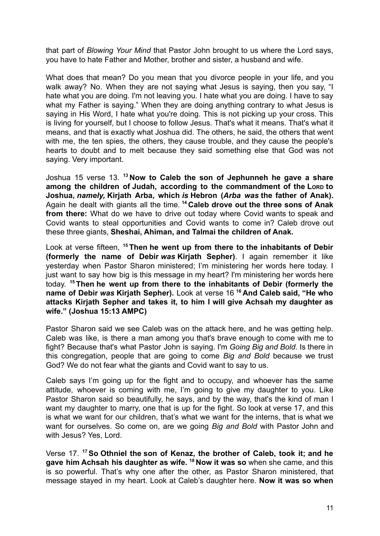that part of *Blowing Your Mind* that Pastor John brought to us where the Lord says, you have to hate Father and Mother, brother and sister, a husband and wife.

What does that mean? Do you mean that you divorce people in your life, and you walk away? No. When they are not saying what Jesus is saying, then you say, "I hate what you are doing. I'm not leaving you. I hate what you are doing. I have to say what my Father is saying." When they are doing anything contrary to what Jesus is saying in His Word, I hate what you're doing. This is not picking up your cross. This is living for yourself, but I choose to follow Jesus. That's what it means. That's what it means, and that is exactly what Joshua did. The others, he said, the others that went with me, the ten spies, the others, they cause trouble, and they cause the people's hearts to doubt and to melt because they said something else that God was not saying. Very important.

Joshua 15 verse 13. **<sup>13</sup> Now to Caleb the son of Jephunneh he gave a share among the children of Judah, according to the commandment of the LORD to Joshua,** *namely,* **Kirjath Arba, which** *is* **Hebron (***Arba was* **the father of Anak).** Again he dealt with giants all the time. **<sup>14</sup> Caleb drove out the three sons of Anak from there:** What do we have to drive out today where Covid wants to speak and Covid wants to steal opportunities and Covid wants to come in? Caleb drove out these three giants, **Sheshai, Ahiman, and Talmai the children of Anak.**

Look at verse fifteen, **<sup>15</sup> Then he went up from there to the inhabitants of Debir (formerly the name of Debir** *was* **Kirjath Sepher)**. I again remember it like yesterday when Pastor Sharon ministered; I'm ministering her words here today. I just want to say how big is this message in my heart? I'm ministering her words here today. **<sup>15</sup> Then he went up from there to the inhabitants of Debir (formerly the name of Debir** *was* **Kirjath Sepher).** Look at verse 16 **<sup>16</sup> And Caleb said, "He who attacks Kirjath Sepher and takes it, to him I will give Achsah my daughter as wife." (Joshua 15:13 AMPC)**

Pastor Sharon said we see Caleb was on the attack here, and he was getting help. Caleb was like, is there a man among you that's brave enough to come with me to fight? Because that's what Pastor John is saying. I'm *Going Big and Bold*. Is there in this congregation, people that are going to come *Big and Bold* because we trust God? We do not fear what the giants and Covid want to say to us.

Caleb says I'm going up for the fight and to occupy, and whoever has the same attitude, whoever is coming with me, I'm going to give my daughter to you. Like Pastor Sharon said so beautifully, he says, and by the way, that's the kind of man I want my daughter to marry, one that is up for the fight. So look at verse 17, and this is what we want for our children, that's what we want for the interns, that is what we want for ourselves. So come on, are we going *Big and Bold* with Pastor John and with Jesus? Yes, Lord.

Verse 17. **<sup>17</sup>So Othniel the son of Kenaz, the brother of Caleb, took it; and he gave him Achsah his daughter as wife. <sup>18</sup> Now it was so** when she came, and this is so powerful. That's why one after the other, as Pastor Sharon ministered, that message stayed in my heart. Look at Caleb's daughter here. **Now it was so when**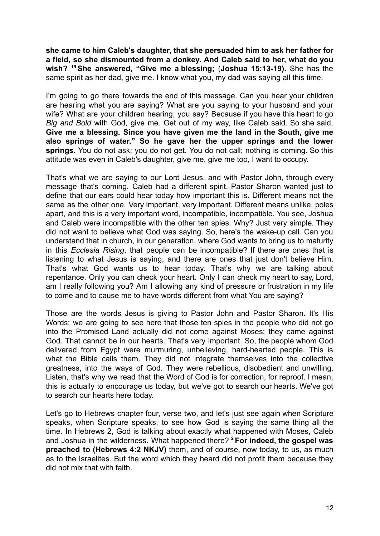**she came to him Caleb's daughter, that she persuaded him to ask her father for a field, so she dismounted from a donkey. And Caleb said to her, what do you wish? <sup>19</sup>She answered, "Give me a blessing;** (**Joshua 15:13-19).** She has the same spirit as her dad, give me. I know what you, my dad was saying all this time.

I'm going to go there towards the end of this message. Can you hear your children are hearing what you are saying? What are you saying to your husband and your wife? What are your children hearing, you say? Because if you have this heart to go *Big and Bold* with God, give me. Get out of my way, like Caleb said. So she said, **Give me a blessing. Since you have given me the land in the South, give me also springs of water." So he gave her the upper springs and the lower springs.** You do not ask; you do not get. You do not call; nothing is coming. So this attitude was even in Caleb's daughter, give me, give me too, I want to occupy.

That's what we are saying to our Lord Jesus, and with Pastor John, through every message that's coming. Caleb had a different spirit. Pastor Sharon wanted just to define that our ears could hear today how important this is. Different means not the same as the other one. Very important, very important. Different means unlike, poles apart, and this is a very important word, incompatible, incompatible. You see, Joshua and Caleb were incompatible with the other ten spies. Why? Just very simple. They did not want to believe what God was saying. So, here's the wake-up call. Can you understand that in church, in our generation, where God wants to bring us to maturity in this *Ecclesia Rising*, that people can be incompatible? If there are ones that is listening to what Jesus is saying, and there are ones that just don't believe Him. That's what God wants us to hear today. That's why we are talking about repentance. Only you can check your heart. Only I can check my heart to say, Lord, am I really following you? Am I allowing any kind of pressure or frustration in my life to come and to cause me to have words different from what You are saying?

Those are the words Jesus is giving to Pastor John and Pastor Sharon. It's His Words; we are going to see here that those ten spies in the people who did not go into the Promised Land actually did not come against Moses; they came against God. That cannot be in our hearts. That's very important. So, the people whom God delivered from Egypt were murmuring, unbelieving, hard-hearted people. This is what the Bible calls them. They did not integrate themselves into the collective greatness, into the ways of God. They were rebellious, disobedient and unwilling. Listen, that's why we read that the Word of God is for correction, for reproof. I mean, this is actually to encourage us today, but we've got to search our hearts. We've got to search our hearts here today.

Let's go to Hebrews chapter four, verse two, and let's just see again when Scripture speaks, when Scripture speaks, to see how God is saying the same thing all the time. In Hebrews 2, God is talking about exactly what happened with Moses, Caleb and Joshua in the wilderness. What happened there? **<sup>2</sup> For indeed, the gospel was preached to (Hebrews 4:2 NKJV)** them, and of course, now today, to us, as much as to the Israelites. But the word which they heard did not profit them because they did not mix that with faith.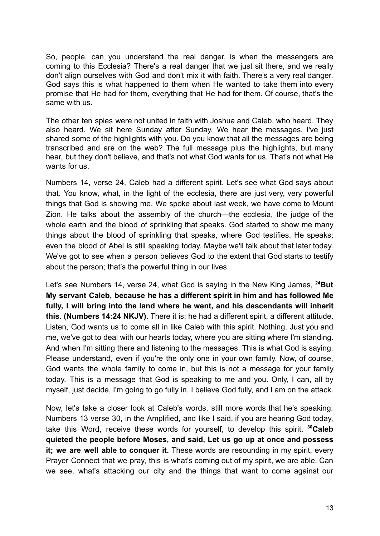So, people, can you understand the real danger, is when the messengers are coming to this Ecclesia? There's a real danger that we just sit there, and we really don't align ourselves with God and don't mix it with faith. There's a very real danger. God says this is what happened to them when He wanted to take them into every promise that He had for them, everything that He had for them. Of course, that's the same with us.

The other ten spies were not united in faith with Joshua and Caleb, who heard. They also heard. We sit here Sunday after Sunday. We hear the messages. I've just shared some of the highlights with you. Do you know that all the messages are being transcribed and are on the web? The full message plus the highlights, but many hear, but they don't believe, and that's not what God wants for us. That's not what He wants for us.

Numbers 14, verse 24, Caleb had a different spirit. Let's see what God says about that. You know, what, in the light of the ecclesia, there are just very, very powerful things that God is showing me. We spoke about last week, we have come to Mount Zion. He talks about the assembly of the church—the ecclesia, the judge of the whole earth and the blood of sprinkling that speaks. God started to show me many things about the blood of sprinkling that speaks, where God testifies. He speaks; even the blood of Abel is still speaking today. Maybe we'll talk about that later today. We've got to see when a person believes God to the extent that God starts to testify about the person; that's the powerful thing in our lives.

Let's see Numbers 14, verse 24, what God is saying in the New King James, **<sup>24</sup>But My servant Caleb, because he has a different spirit in him and has followed Me fully, I will bring into the land where he went, and his descendants will inherit this. (Numbers 14:24 NKJV).** There it is; he had a different spirit, a different attitude. Listen, God wants us to come all in like Caleb with this spirit. Nothing. Just you and me, we've got to deal with our hearts today, where you are sitting where I'm standing. And when I'm sitting there and listening to the messages. This is what God is saying. Please understand, even if you're the only one in your own family. Now, of course, God wants the whole family to come in, but this is not a message for your family today. This is a message that God is speaking to me and you. Only, I can, all by myself, just decide, I'm going to go fully in, I believe God fully, and I am on the attack.

Now, let's take a closer look at Caleb's words, still more words that he's speaking. Numbers 13 verse 30, in the Amplified, and like I said, if you are hearing God today, take this Word, receive these words for yourself, to develop this spirit. **<sup>30</sup>Caleb quieted the people before Moses, and said, Let us go up at once and possess it; we are well able to conquer it.** These words are resounding in my spirit, every Prayer Connect that we pray, this is what's coming out of my spirit, we are able. Can we see, what's attacking our city and the things that want to come against our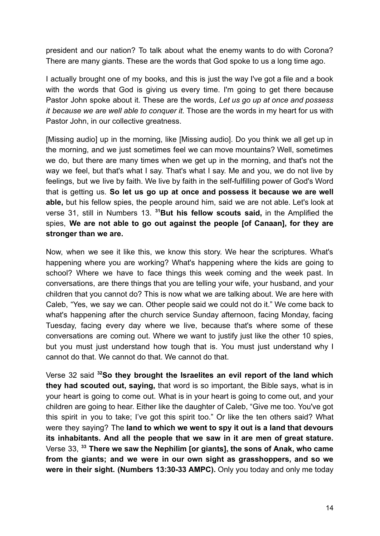president and our nation? To talk about what the enemy wants to do with Corona? There are many giants. These are the words that God spoke to us a long time ago.

I actually brought one of my books, and this is just the way I've got a file and a book with the words that God is giving us every time. I'm going to get there because Pastor John spoke about it. These are the words, *Let us go up at once and possess it because we are well able to conquer it.* Those are the words in my heart for us with Pastor John, in our collective greatness.

[Missing audio] up in the morning, like [Missing audio]. Do you think we all get up in the morning, and we just sometimes feel we can move mountains? Well, sometimes we do, but there are many times when we get up in the morning, and that's not the way we feel, but that's what I say. That's what I say. Me and you, we do not live by feelings, but we live by faith. We live by faith in the self-fulfilling power of God's Word that is getting us. **So let us go up at once and possess it because we are well able,** but his fellow spies, the people around him, said we are not able. Let's look at verse 31, still in Numbers 13. **<sup>31</sup>But his fellow scouts said,** in the Amplified the spies, **We are not able to go out against the people [of Canaan], for they are stronger than we are.**

Now, when we see it like this, we know this story. We hear the scriptures. What's happening where you are working? What's happening where the kids are going to school? Where we have to face things this week coming and the week past. In conversations, are there things that you are telling your wife, your husband, and your children that you cannot do? This is now what we are talking about. We are here with Caleb, "Yes, we say we can. Other people said we could not do it." We come back to what's happening after the church service Sunday afternoon, facing Monday, facing Tuesday, facing every day where we live, because that's where some of these conversations are coming out. Where we want to justify just like the other 10 spies, but you must just understand how tough that is. You must just understand why I cannot do that. We cannot do that. We cannot do that.

Verse 32 said **<sup>32</sup>So they brought the Israelites an evil report of the land which they had scouted out, saying,** that word is so important, the Bible says, what is in your heart is going to come out. What is in your heart is going to come out, and your children are going to hear. Either like the daughter of Caleb, "Give me too. You've got this spirit in you to take; I've got this spirit too." Or like the ten others said? What were they saying? The **land to which we went to spy it out is a land that devours its inhabitants. And all the people that we saw in it are men of great stature.** Verse 33, **<sup>33</sup> There we saw the Nephilim [or giants], the sons of Anak, who came from the giants; and we were in our own sight as grasshoppers, and so we were in their sight. (Numbers 13:30-33 AMPC).** Only you today and only me today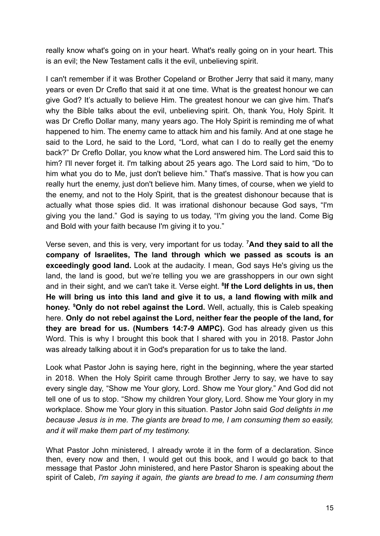really know what's going on in your heart. What's really going on in your heart. This is an evil; the New Testament calls it the evil, unbelieving spirit.

I can't remember if it was Brother Copeland or Brother Jerry that said it many, many years or even Dr Creflo that said it at one time. What is the greatest honour we can give God? It's actually to believe Him. The greatest honour we can give him. That's why the Bible talks about the evil, unbelieving spirit. Oh, thank You, Holy Spirit, It was Dr Creflo Dollar many, many years ago. The Holy Spirit is reminding me of what happened to him. The enemy came to attack him and his family. And at one stage he said to the Lord, he said to the Lord, "Lord, what can I do to really get the enemy back?" Dr Creflo Dollar, you know what the Lord answered him. The Lord said this to him? I'll never forget it. I'm talking about 25 years ago. The Lord said to him, "Do to him what you do to Me, just don't believe him." That's massive. That is how you can really hurt the enemy, just don't believe him. Many times, of course, when we yield to the enemy, and not to the Holy Spirit, that is the greatest dishonour because that is actually what those spies did. It was irrational dishonour because God says, "I'm giving you the land." God is saying to us today, "I'm giving you the land. Come Big and Bold with your faith because I'm giving it to you."

Verse seven, and this is very, very important for us today. **<sup>7</sup>And they said to all the company of Israelites, The land through which we passed as scouts is an exceedingly good land.** Look at the audacity. I mean, God says He's giving us the land, the land is good, but we're telling you we are grasshoppers in our own sight and in their sight, and we can't take it. Verse eight. **<sup>8</sup> If the Lord delights in us, then He will bring us into this land and give it to us, a land flowing with milk and honey. <sup>9</sup>Only do not rebel against the Lord.** Well, actually, this is Caleb speaking here. **Only do not rebel against the Lord, neither fear the people of the land, for they are bread for us. (Numbers 14:7-9 AMPC).** God has already given us this Word. This is why I brought this book that I shared with you in 2018. Pastor John was already talking about it in God's preparation for us to take the land.

Look what Pastor John is saying here, right in the beginning, where the year started in 2018. When the Holy Spirit came through Brother Jerry to say, we have to say every single day, "Show me Your glory, Lord. Show me Your glory." And God did not tell one of us to stop. "Show my children Your glory, Lord. Show me Your glory in my workplace. Show me Your glory in this situation. Pastor John said *God delights in me because Jesus is in me. The giants are bread to me, I am consuming them so easily, and it will make them part of my testimony.*

What Pastor John ministered, I already wrote it in the form of a declaration. Since then, every now and then, I would get out this book, and I would go back to that message that Pastor John ministered, and here Pastor Sharon is speaking about the spirit of Caleb, *I'm saying it again, the giants are bread to me. I am consuming them*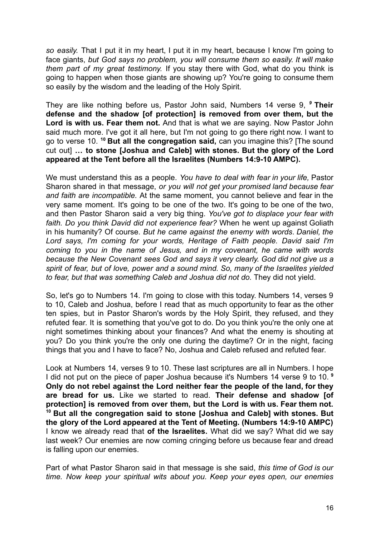*so easily.* That I put it in my heart, I put it in my heart, because I know I'm going to face giants, *but God says no problem, you will consume them so easily. It will make them part of my great testimony.* If you stay there with God, what do you think is going to happen when those giants are showing up? You're going to consume them so easily by the wisdom and the leading of the Holy Spirit.

They are like nothing before us, Pastor John said, Numbers 14 verse 9, *<sup>9</sup>* **Their defense and the shadow [of protection] is removed from over them, but the Lord is with us. Fear them not.** And that is what we are saying. Now Pastor John said much more. I've got it all here, but I'm not going to go there right now. I want to go to verse 10. **<sup>10</sup> But all the congregation said,** can you imagine this? [The sound cut out] **… to stone [Joshua and Caleb] with stones. But the glory of the Lord appeared at the Tent before all the Israelites (Numbers 14:9-10 AMPC).**

We must understand this as a people. *You have to deal with fear in your life,* Pastor Sharon shared in that message, *or you will not get your promised land because fear and faith are incompatible.* At the same moment, you cannot believe and fear in the very same moment. It's going to be one of the two. It's going to be one of the two, and then Pastor Sharon said a very big thing. *You've got to displace your fear with faith. Do you think David did not experience fear?* When he went up against Goliath in his humanity? Of course. *But he came against the enemy with words*. *Daniel, the Lord says, I'm coming for your words, Heritage of Faith people. David said I'm coming to you in the name of Jesus, and in my covenant, he came with words because the New Covenant sees God and says it very clearly. God did not give us a spirit of fear, but of love, power and a sound mind. So, many of the Israelites yielded to fear, but that was something Caleb and Joshua did not do.* They did not yield.

So, let's go to Numbers 14. I'm going to close with this today. Numbers 14, verses 9 to 10, Caleb and Joshua, before I read that as much opportunity to fear as the other ten spies, but in Pastor Sharon's words by the Holy Spirit, they refused, and they refuted fear. It is something that you've got to do. Do you think you're the only one at night sometimes thinking about your finances? And what the enemy is shouting at you? Do you think you're the only one during the daytime? Or in the night, facing things that you and I have to face? No, Joshua and Caleb refused and refuted fear.

Look at Numbers 14, verses 9 to 10. These last scriptures are all in Numbers. I hope I did not put on the piece of paper Joshua because it's Numbers 14 verse 9 to 10. **<sup>9</sup> Only do not rebel against the Lord neither fear the people of the land, for they are bread for us.** Like we started to read. **Their defense and shadow [of protection] is removed from over them, but the Lord is with us. Fear them not. <sup>10</sup> But all the congregation said to stone [Joshua and Caleb] with stones. But the glory of the Lord appeared at the Tent of Meeting. (Numbers 14:9-10 AMPC)** I know we already read that **of the Israelites.** What did we say? What did we say last week? Our enemies are now coming cringing before us because fear and dread is falling upon our enemies.

Part of what Pastor Sharon said in that message is she said, *this time of God is our time. Now keep your spiritual wits about you. Keep your eyes open, our enemies*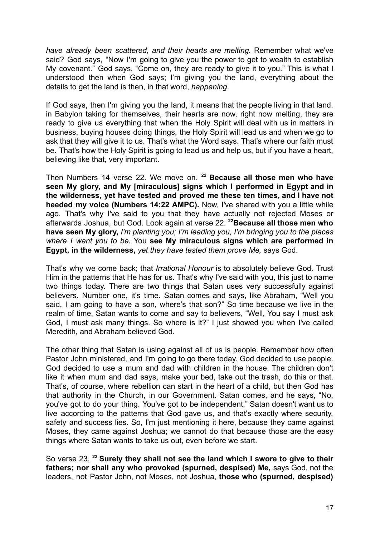*have already been scattered, and their hearts are melting.* Remember what we've said? God says, "Now I'm going to give you the power to get to wealth to establish My covenant." God says, "Come on, they are ready to give it to you." This is what I understood then when God says; I'm giving you the land, everything about the details to get the land is then, in that word, *happening*.

If God says, then I'm giving you the land, it means that the people living in that land, in Babylon taking for themselves, their hearts are now, right now melting, they are ready to give us everything that when the Holy Spirit will deal with us in matters in business, buying houses doing things, the Holy Spirit will lead us and when we go to ask that they will give it to us. That's what the Word says. That's where our faith must be. That's how the Holy Spirit is going to lead us and help us, but if you have a heart, believing like that, very important.

Then Numbers 14 verse 22. We move on. **<sup>22</sup> Because all those men who have seen My glory, and My [miraculous] signs which I performed in Egypt and in the wilderness, yet have tested and proved me these ten times, and I have not heeded my voice (Numbers 14:22 AMPC).** Now, I've shared with you a little while ago. That's why I've said to you that they have actually not rejected Moses or afterwards Joshua, but God. Look again at verse 22. **<sup>22</sup>Because all those men who have seen My glory,** *I'm planting you; I'm leading you, I'm bringing you to the places where I want you to be.* You **see My miraculous signs which are performed in Egypt, in the wilderness,** *yet they have tested them prove Me,* says God.

That's why we come back; that *Irrational Honour* is to absolutely believe God. Trust Him in the patterns that He has for us. That's why I've said with you, this just to name two things today. There are two things that Satan uses very successfully against believers. Number one, it's time. Satan comes and says, like Abraham, "Well you said, I am going to have a son, where's that son?" So time because we live in the realm of time, Satan wants to come and say to believers, "Well, You say I must ask God, I must ask many things. So where is it?" I just showed you when I've called Meredith, and Abraham believed God.

The other thing that Satan is using against all of us is people. Remember how often Pastor John ministered, and I'm going to go there today. God decided to use people. God decided to use a mum and dad with children in the house. The children don't like it when mum and dad says, make your bed, take out the trash, do this or that. That's, of course, where rebellion can start in the heart of a child, but then God has that authority in the Church, in our Government. Satan comes, and he says, "No, you've got to do your thing. You've got to be independent." Satan doesn't want us to live according to the patterns that God gave us, and that's exactly where security, safety and success lies. So, I'm just mentioning it here, because they came against Moses, they came against Joshua; we cannot do that because those are the easy things where Satan wants to take us out, even before we start.

So verse 23, **<sup>23</sup> Surely they shall not see the land which I swore to give to their fathers; nor shall any who provoked (spurned, despised) Me,** says God, not the leaders, not Pastor John, not Moses, not Joshua, **those who (spurned, despised)**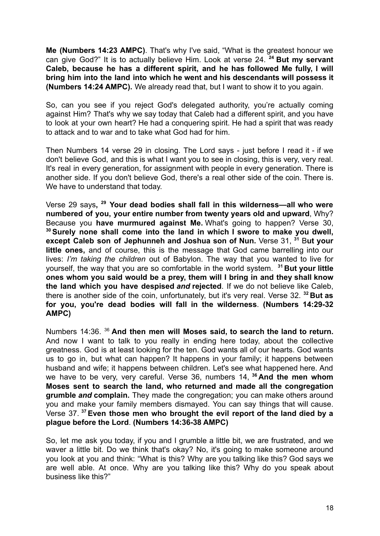**Me (Numbers 14:23 AMPC)**. That's why I've said, "What is the greatest honour we can give God?" It is to actually believe Him. Look at verse 24. **<sup>24</sup> But my servant Caleb, because he has a different spirit, and he has followed Me fully, I will bring him into the land into which he went and his descendants will possess it (Numbers 14:24 AMPC).** We already read that, but I want to show it to you again.

So, can you see if you reject God's delegated authority, you're actually coming against Him? That's why we say today that Caleb had a different spirit, and you have to look at your own heart? He had a conquering spirit. He had a spirit that was ready to attack and to war and to take what God had for him.

Then Numbers 14 verse 29 in closing. The Lord says - just before I read it - if we don't believe God, and this is what I want you to see in closing, this is very, very real. It's real in every generation, for assignment with people in every generation. There is another side. If you don't believe God, there's a real other side of the coin. There is. We have to understand that today.

Verse 29 says**, <sup>29</sup> Your dead bodies shall fall in this wilderness—all who were numbered of you, your entire number from twenty years old and upward**, Why? Because you **have murmured against Me.** What's going to happen? Verse 30, **<sup>30</sup>Surely none shall come into the land in which I swore to make you dwell, except Caleb son of Jephunneh and Joshua son of Nun.** Verse 31, **<sup>31</sup>** B**ut your little ones,** and of course, this is the message that God came barrelling into our lives: *I'm taking the children* out of Babylon. The way that you wanted to live for yourself, the way that you are so comfortable in the world system. **<sup>31</sup> But your little ones whom you said would be a prey, them will I bring in and they shall know the land which you have despised** *and* **rejected**. If we do not believe like Caleb, there is another side of the coin, unfortunately, but it's very real. Verse 32. **<sup>32</sup> But as for you, you're dead bodies will fall in the wilderness**. **(Numbers 14:29-32 AMPC)**

Numbers 14:36. <sup>36</sup> **And then men will Moses said, to search the land to return.** And now I want to talk to you really in ending here today, about the collective greatness. God is at least looking for the ten. God wants all of our hearts. God wants us to go in, but what can happen? It happens in your family; it happens between husband and wife; it happens between children. Let's see what happened here. And we have to be very, very careful. Verse 36, numbers 14, **<sup>36</sup> And the men whom Moses sent to search the land, who returned and made all the congregation grumble** *and* **complain.** They made the congregation; you can make others around you and make your family members dismayed. You can say things that will cause. Verse 37. **<sup>37</sup>Even those men who brought the evil report of the land died by a plague before the Lord**. **(Numbers 14:36-38 AMPC)**

So, let me ask you today, if you and I grumble a little bit, we are frustrated, and we waver a little bit. Do we think that's okay? No, it's going to make someone around you look at you and think: "What is this? Why are you talking like this? God says we are well able. At once. Why are you talking like this? Why do you speak about business like this?"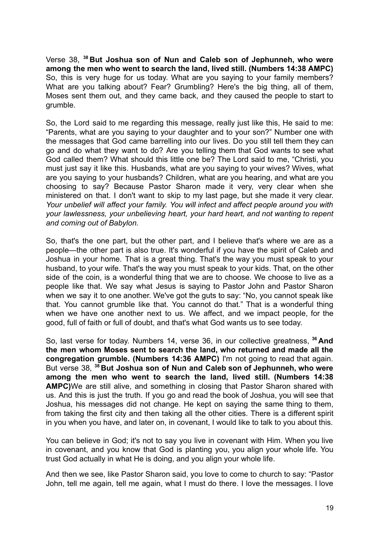Verse 38, **<sup>38</sup> But Joshua son of Nun and Caleb son of Jephunneh, who were among the men who went to search the land, lived still. (Numbers 14:38 AMPC)** So, this is very huge for us today. What are you saying to your family members? What are you talking about? Fear? Grumbling? Here's the big thing, all of them, Moses sent them out, and they came back, and they caused the people to start to grumble.

So, the Lord said to me regarding this message, really just like this, He said to me: "Parents, what are you saying to your daughter and to your son?" Number one with the messages that God came barrelling into our lives. Do you still tell them they can go and do what they want to do? Are you telling them that God wants to see what God called them? What should this little one be? The Lord said to me, "Christi, you must just say it like this. Husbands, what are you saying to your wives? Wives, what are you saying to your husbands? Children, what are you hearing, and what are you choosing to say? Because Pastor Sharon made it very, very clear when she ministered on that. I don't want to skip to my last page, but she made it very clear. *Your unbelief will affect your family. You will infect and affect people around you with your lawlessness, your unbelieving heart, your hard heart, and not wanting to repent and coming out of Babylon.*

So, that's the one part, but the other part, and I believe that's where we are as a people—the other part is also true. It's wonderful if you have the spirit of Caleb and Joshua in your home. That is a great thing. That's the way you must speak to your husband, to your wife. That's the way you must speak to your kids. That, on the other side of the coin, is a wonderful thing that we are to choose. We choose to live as a people like that. We say what Jesus is saying to Pastor John and Pastor Sharon when we say it to one another. We've got the guts to say: "No, you cannot speak like that. You cannot grumble like that. You cannot do that." That is a wonderful thing when we have one another next to us. We affect, and we impact people, for the good, full of faith or full of doubt, and that's what God wants us to see today.

So, last verse for today. Numbers 14, verse 36, in our collective greatness, **<sup>36</sup> And the men whom Moses sent to search the land, who returned and made all the congregation grumble. (Numbers 14:36 AMPC)** I'm not going to read that again. But verse 38, **<sup>38</sup> But Joshua son of Nun and Caleb son of Jephunneh, who were among the men who went to search the land, lived still. (Numbers 14:38 AMPC)**We are still alive, and something in closing that Pastor Sharon shared with us. And this is just the truth. If you go and read the book of Joshua, you will see that Joshua, his messages did not change. He kept on saying the same thing to them, from taking the first city and then taking all the other cities. There is a different spirit in you when you have, and later on, in covenant, I would like to talk to you about this.

You can believe in God; it's not to say you live in covenant with Him. When you live in covenant, and you know that God is planting you, you align your whole life. You trust God actually in what He is doing, and you align your whole life.

And then we see, like Pastor Sharon said, you love to come to church to say: "Pastor John, tell me again, tell me again, what I must do there. I love the messages. I love